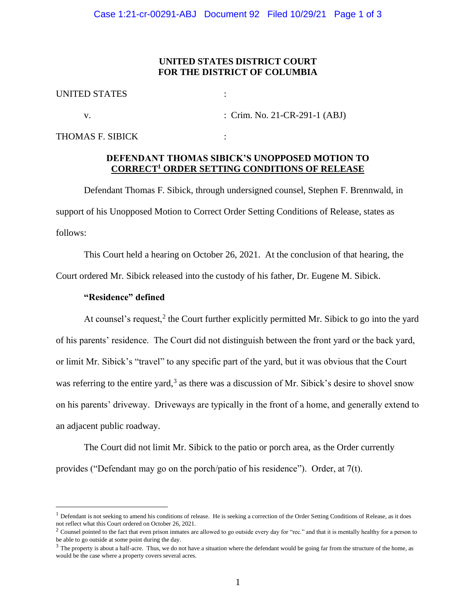### **UNITED STATES DISTRICT COURT FOR THE DISTRICT OF COLUMBIA**

| UNITED STATES |                               |
|---------------|-------------------------------|
|               | : Crim. No. 21-CR-291-1 (ABJ) |

THOMAS F. SIBICK :

## **DEFENDANT THOMAS SIBICK'S UNOPPOSED MOTION TO CORRECT<sup>1</sup> ORDER SETTING CONDITIONS OF RELEASE**

Defendant Thomas F. Sibick, through undersigned counsel, Stephen F. Brennwald, in support of his Unopposed Motion to Correct Order Setting Conditions of Release, states as follows:

This Court held a hearing on October 26, 2021. At the conclusion of that hearing, the Court ordered Mr. Sibick released into the custody of his father, Dr. Eugene M. Sibick.

#### **"Residence" defined**

At counsel's request, $2$  the Court further explicitly permitted Mr. Sibick to go into the yard of his parents' residence. The Court did not distinguish between the front yard or the back yard, or limit Mr. Sibick's "travel" to any specific part of the yard, but it was obvious that the Court was referring to the entire yard,<sup>3</sup> as there was a discussion of Mr. Sibick's desire to shovel snow on his parents' driveway. Driveways are typically in the front of a home, and generally extend to an adjacent public roadway.

The Court did not limit Mr. Sibick to the patio or porch area, as the Order currently provides ("Defendant may go on the porch/patio of his residence"). Order, at 7(t).

 $<sup>1</sup>$  Defendant is not seeking to amend his conditions of release. He is seeking a correction of the Order Setting Conditions of Release, as it does</sup> not reflect what this Court ordered on October 26, 2021.

 $2$  Counsel pointed to the fact that even prison inmates are allowed to go outside every day for "rec." and that it is mentally healthy for a person to be able to go outside at some point during the day.

 $3$  The property is about a half-acre. Thus, we do not have a situation where the defendant would be going far from the structure of the home, as would be the case where a property covers several acres.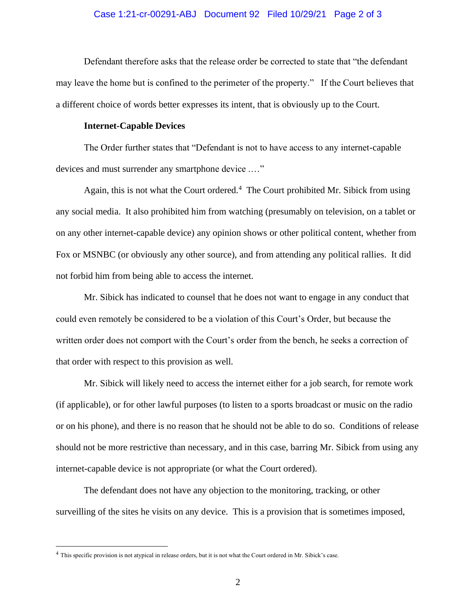#### Case 1:21-cr-00291-ABJ Document 92 Filed 10/29/21 Page 2 of 3

Defendant therefore asks that the release order be corrected to state that "the defendant may leave the home but is confined to the perimeter of the property." If the Court believes that a different choice of words better expresses its intent, that is obviously up to the Court.

#### **Internet-Capable Devices**

The Order further states that "Defendant is not to have access to any internet-capable devices and must surrender any smartphone device .…"

Again, this is not what the Court ordered.<sup>4</sup> The Court prohibited Mr. Sibick from using any social media. It also prohibited him from watching (presumably on television, on a tablet or on any other internet-capable device) any opinion shows or other political content, whether from Fox or MSNBC (or obviously any other source), and from attending any political rallies. It did not forbid him from being able to access the internet.

Mr. Sibick has indicated to counsel that he does not want to engage in any conduct that could even remotely be considered to be a violation of this Court's Order, but because the written order does not comport with the Court's order from the bench, he seeks a correction of that order with respect to this provision as well.

Mr. Sibick will likely need to access the internet either for a job search, for remote work (if applicable), or for other lawful purposes (to listen to a sports broadcast or music on the radio or on his phone), and there is no reason that he should not be able to do so. Conditions of release should not be more restrictive than necessary, and in this case, barring Mr. Sibick from using any internet-capable device is not appropriate (or what the Court ordered).

The defendant does not have any objection to the monitoring, tracking, or other surveilling of the sites he visits on any device. This is a provision that is sometimes imposed,

<sup>&</sup>lt;sup>4</sup> This specific provision is not atypical in release orders, but it is not what the Court ordered in Mr. Sibick's case.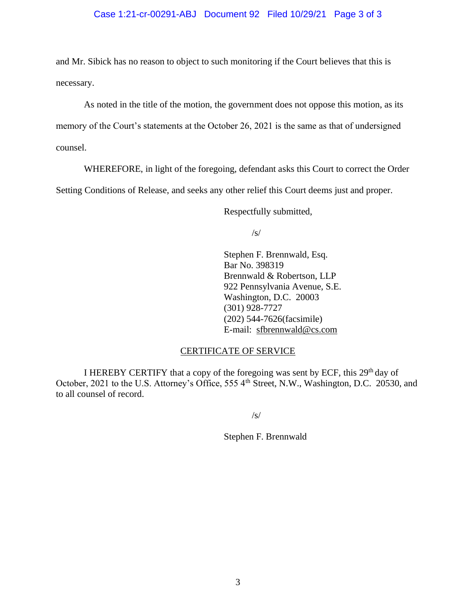### Case 1:21-cr-00291-ABJ Document 92 Filed 10/29/21 Page 3 of 3

and Mr. Sibick has no reason to object to such monitoring if the Court believes that this is necessary.

As noted in the title of the motion, the government does not oppose this motion, as its memory of the Court's statements at the October 26, 2021 is the same as that of undersigned counsel.

WHEREFORE, in light of the foregoing, defendant asks this Court to correct the Order

Setting Conditions of Release, and seeks any other relief this Court deems just and proper.

Respectfully submitted,

/s/

Stephen F. Brennwald, Esq. Bar No. 398319 Brennwald & Robertson, LLP 922 Pennsylvania Avenue, S.E. Washington, D.C. 20003 (301) 928-7727 (202) 544-7626(facsimile) E-mail: sfbrennwald@cs.com

### CERTIFICATE OF SERVICE

I HEREBY CERTIFY that a copy of the foregoing was sent by ECF, this 29<sup>th</sup> day of October, 2021 to the U.S. Attorney's Office, 555 4<sup>th</sup> Street, N.W., Washington, D.C. 20530, and to all counsel of record.

/s/

Stephen F. Brennwald